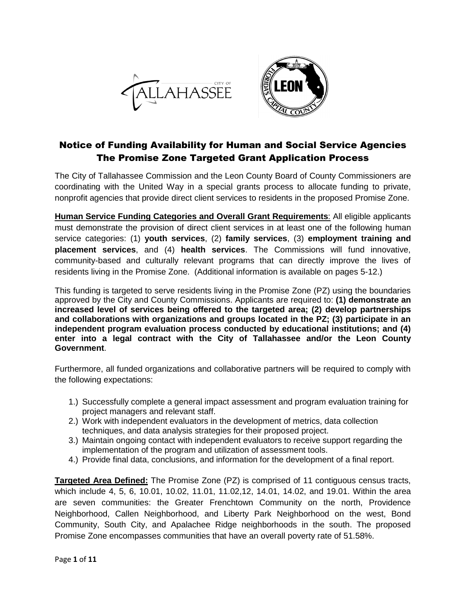



# Notice of Funding Availability for Human and Social Service Agencies The Promise Zone Targeted Grant Application Process

The City of Tallahassee Commission and the Leon County Board of County Commissioners are coordinating with the United Way in a special grants process to allocate funding to private, nonprofit agencies that provide direct client services to residents in the proposed Promise Zone.

**Human Service Funding Categories and Overall Grant Requirements**: All eligible applicants must demonstrate the provision of direct client services in at least one of the following human service categories: (1) **youth services**, (2) **family services**, (3) **employment training and placement services**, and (4) **health services**. The Commissions will fund innovative, community-based and culturally relevant programs that can directly improve the lives of residents living in the Promise Zone. (Additional information is available on pages 5-12.)

This funding is targeted to serve residents living in the Promise Zone (PZ) using the boundaries approved by the City and County Commissions. Applicants are required to: **(1) demonstrate an increased level of services being offered to the targeted area; (2) develop partnerships and collaborations with organizations and groups located in the PZ; (3) participate in an independent program evaluation process conducted by educational institutions; and (4) enter into a legal contract with the City of Tallahassee and/or the Leon County Government**.

Furthermore, all funded organizations and collaborative partners will be required to comply with the following expectations:

- 1.) Successfully complete a general impact assessment and program evaluation training for project managers and relevant staff.
- 2.) Work with independent evaluators in the development of metrics, data collection techniques, and data analysis strategies for their proposed project.
- 3.) Maintain ongoing contact with independent evaluators to receive support regarding the implementation of the program and utilization of assessment tools.
- 4.) Provide final data, conclusions, and information for the development of a final report.

**Targeted Area Defined:** The Promise Zone (PZ) is comprised of 11 contiguous census tracts, which include 4, 5, 6, 10.01, 10.02, 11.01, 11.02,12, 14.01, 14.02, and 19.01. Within the area are seven communities: the Greater Frenchtown Community on the north, Providence Neighborhood, Callen Neighborhood, and Liberty Park Neighborhood on the west, Bond Community, South City, and Apalachee Ridge neighborhoods in the south. The proposed Promise Zone encompasses communities that have an overall poverty rate of 51.58%.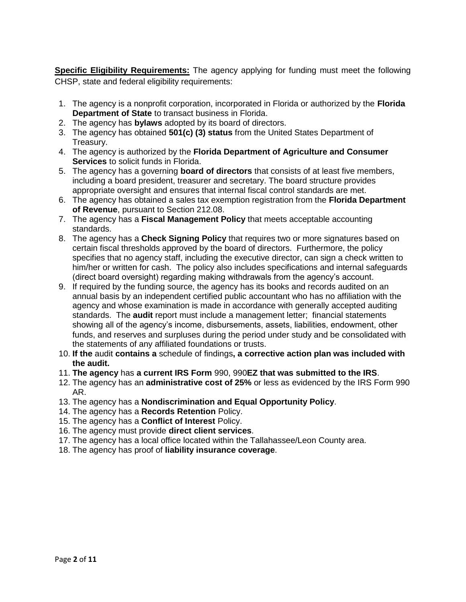**Specific Eligibility Requirements:** The agency applying for funding must meet the following CHSP, state and federal eligibility requirements:

- 1. The agency is a nonprofit corporation, incorporated in Florida or authorized by the **Florida Department of State** to transact business in Florida.
- 2. The agency has **bylaws** adopted by its board of directors.
- 3. The agency has obtained **501(c) (3) status** from the United States Department of Treasury.
- 4. The agency is authorized by the **Florida Department of Agriculture and Consumer Services** to solicit funds in Florida.
- 5. The agency has a governing **board of directors** that consists of at least five members, including a board president, treasurer and secretary. The board structure provides appropriate oversight and ensures that internal fiscal control standards are met.
- 6. The agency has obtained a sales tax exemption registration from the **Florida Department of Revenue**, pursuant to Section 212.08.
- 7. The agency has a **Fiscal Management Policy** that meets acceptable accounting standards.
- 8. The agency has a **Check Signing Policy** that requires two or more signatures based on certain fiscal thresholds approved by the board of directors. Furthermore, the policy specifies that no agency staff, including the executive director, can sign a check written to him/her or written for cash. The policy also includes specifications and internal safeguards (direct board oversight) regarding making withdrawals from the agency's account.
- 9. If required by the funding source, the agency has its books and records audited on an annual basis by an independent certified public accountant who has no affiliation with the agency and whose examination is made in accordance with generally accepted auditing standards. The **audit** report must include a management letter; financial statements showing all of the agency's income, disbursements, assets, liabilities, endowment, other funds, and reserves and surpluses during the period under study and be consolidated with the statements of any affiliated foundations or trusts.
- 10. **If the** audit **contains a** schedule of findings**, a corrective action plan was included with the audit.**
- 11. **The agency** has **a current IRS Form** 990, 990**EZ that was submitted to the IRS**.
- 12. The agency has an **administrative cost of 25%** or less as evidenced by the IRS Form 990 AR.
- 13. The agency has a **Nondiscrimination and Equal Opportunity Policy**.
- 14. The agency has a **Records Retention** Policy.
- 15. The agency has a **Conflict of Interest** Policy.
- 16. The agency must provide **direct client services**.
- 17. The agency has a local office located within the Tallahassee/Leon County area.
- 18. The agency has proof of **liability insurance coverage**.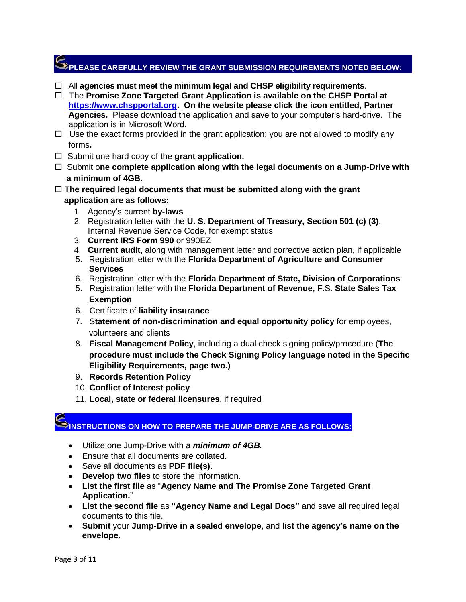# **PLEASE CAREFULLY REVIEW THE GRANT SUBMISSION REQUIREMENTS NOTED BELOW:**

- All **agencies must meet the minimum legal and CHSP eligibility requirements**.
- □ The **Promise Zone Targeted Grant Application is available on the CHSP Portal at [https://www.chspportal.org.](https://www.chspportal.org/) On the website please click the icon entitled, Partner Agencies.** Please download the application and save to your computer's hard-drive. The application is in Microsoft Word.
- $\Box$  Use the exact forms provided in the grant application; you are not allowed to modify any forms**.**
- □ Submit one hard copy of the **grant application.**
- □ Submit one complete application along with the legal documents on a Jump-Drive with  **a minimum of 4GB.**
- **The required legal documents that must be submitted along with the grant application are as follows:**
	- 1. Agency's current **by-laws**
	- 2. Registration letter with the **U. S. Department of Treasury, Section 501 (c) (3)**, Internal Revenue Service Code, for exempt status
	- 3. **Current IRS Form 990** or 990EZ
	- 4. **Current audit**, along with management letter and corrective action plan, if applicable
	- 5. Registration letter with the **Florida Department of Agriculture and Consumer Services**
	- 6. Registration letter with the **Florida Department of State, Division of Corporations**
	- 5. Registration letter with the **Florida Department of Revenue,** F.S. **State Sales Tax Exemption**
	- 6. Certificate of **liability insurance**
	- 7. S**tatement of non-discrimination and equal opportunity policy** for employees, volunteers and clients
	- 8. **Fiscal Management Policy**, including a dual check signing policy/procedure (**The procedure must include the Check Signing Policy language noted in the Specific Eligibility Requirements, page two.)**
	- 9. **Records Retention Policy**
	- 10. **Conflict of Interest policy**
	- 11. **Local, state or federal licensures**, if required

# **INSTRUCTIONS ON HOW TO PREPARE THE JUMP-DRIVE ARE AS FOLLOWS:**

- Utilize one Jump-Drive with a *minimum of 4GB.*
- Ensure that all documents are collated.
- Save all documents as **PDF file(s)**.
- **Develop two files** to store the information.
- **List the first file** as "**Agency Name and The Promise Zone Targeted Grant Application.**"
- **List the second file** as **"Agency Name and Legal Docs"** and save all required legal documents to this file.
- **Submit** your **Jump-Drive in a sealed envelope**, and **list the agency's name on the envelope**.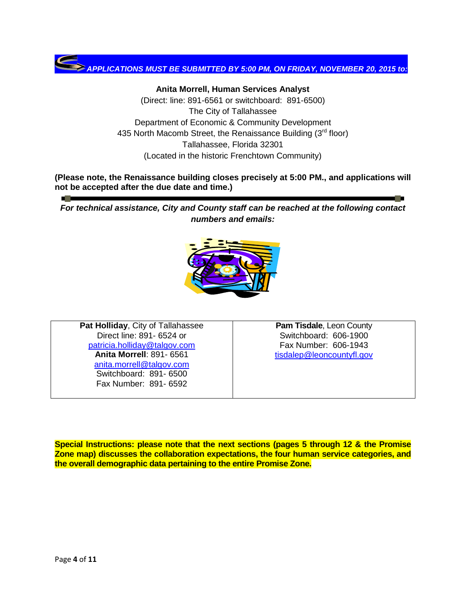

**Anita Morrell, Human Services Analyst**  (Direct: line: 891-6561 or switchboard: 891-6500) The City of Tallahassee Department of Economic & Community Development 435 North Macomb Street, the Renaissance Building  $(3<sup>rd</sup>$  floor) Tallahassee, Florida 32301 (Located in the historic Frenchtown Community)

**(Please note, the Renaissance building closes precisely at 5:00 PM., and applications will not be accepted after the due date and time.)**

*For technical assistance, City and County staff can be reached at the following contact numbers and emails:*



**Pat Holliday**, City of Tallahassee Direct line: 891- 6524 or [patricia.holliday@talgov.com](file://///city/fileserver/Dncs/FNC/Human%20Services/2014-15%20CHSP/patricia.holliday@talgov.com) **Anita Morrell**: 891- 6561 [anita.morrell@talgov.com](file://///city/fileserver/Dncs/FNC/Human%20Services/2014-15%20CHSP/anita.morrell@talgov.com) Switchboard: 891- 6500 Fax Number: 891- 6592

**Pam Tisdale**, Leon County Switchboard: 606-1900 Fax Number: 606-1943 [tisdalep@leoncountyfl.gov](mailto:tisdalep@leoncountyfl.gov)

**Special Instructions: please note that the next sections (pages 5 through 12 & the Promise Zone map) discusses the collaboration expectations, the four human service categories, and the overall demographic data pertaining to the entire Promise Zone.**

 $\mathcal{L}(\mathcal{C})$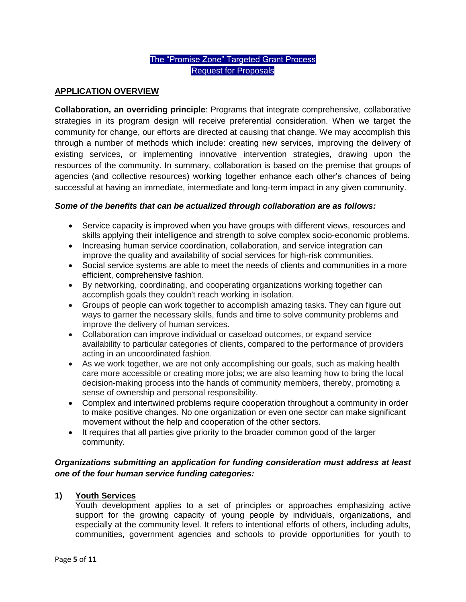# The "Promise Zone" Targeted Grant Process Request for Proposals

# **APPLICATION OVERVIEW**

**Collaboration, an overriding principle**: Programs that integrate comprehensive, collaborative strategies in its program design will receive preferential consideration. When we target the community for change, our efforts are directed at causing that change. We may accomplish this through a number of methods which include: creating new services, improving the delivery of existing services, or implementing innovative intervention strategies, drawing upon the resources of the community. In summary, collaboration is based on the premise that groups of agencies (and collective resources) working together enhance each other's chances of being successful at having an immediate, intermediate and long-term impact in any given community.

#### *Some of the benefits that can be actualized through collaboration are as follows:*

- Service capacity is improved when you have groups with different views, resources and skills applying their intelligence and strength to solve complex socio-economic problems.
- Increasing human service coordination, collaboration, and service integration can improve the quality and availability of social services for high-risk communities.
- Social service systems are able to meet the needs of clients and communities in a more efficient, comprehensive fashion.
- By networking, coordinating, and cooperating organizations working together can accomplish goals they couldn't reach working in isolation.
- Groups of people can work together to accomplish amazing tasks. They can figure out ways to garner the necessary skills, funds and time to solve community problems and improve the delivery of human services.
- Collaboration can improve individual or caseload outcomes, or expand service availability to particular categories of clients, compared to the performance of providers acting in an uncoordinated fashion.
- As we work together, we are not only accomplishing our goals, such as making health care more accessible or creating more jobs; we are also learning how to bring the local decision-making process into the hands of community members, thereby, promoting a sense of ownership and personal responsibility.
- Complex and intertwined problems require cooperation throughout a community in order to make positive changes. No one organization or even one sector can make significant movement without the help and cooperation of the other sectors.
- It requires that all parties give priority to the broader common good of the larger community.

# *Organizations submitting an application for funding consideration must address at least one of the four human service funding categories:*

#### **1) Youth Services**

Youth development applies to a set of principles or approaches emphasizing active support for the growing capacity of young people by individuals, organizations, and especially at the community level. It refers to intentional efforts of others, including adults, communities, government agencies and schools to provide opportunities for youth to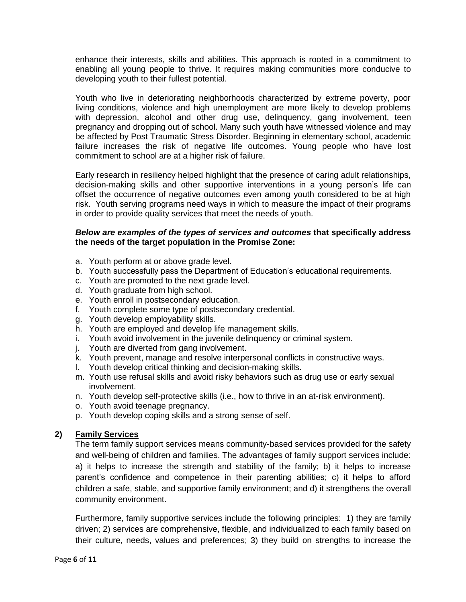enhance their interests, skills and abilities. This approach is rooted in a commitment to enabling all young people to thrive. It requires making communities more conducive to developing youth to their fullest potential.

Youth who live in deteriorating neighborhoods characterized by extreme poverty, poor living conditions, violence and high unemployment are more likely to develop problems with depression, alcohol and other drug use, delinquency, gang involvement, teen pregnancy and dropping out of school. Many such youth have witnessed violence and may be affected by Post Traumatic Stress Disorder. Beginning in elementary school, academic failure increases the risk of negative life outcomes. Young people who have lost commitment to school are at a higher risk of failure.

Early research in resiliency helped highlight that the presence of caring adult relationships, decision-making skills and other supportive interventions in a young person's life can offset the occurrence of negative outcomes even among youth considered to be at high risk. Youth serving programs need ways in which to measure the impact of their programs in order to provide quality services that meet the needs of youth.

#### *Below are examples of the types of services and outcomes* **that specifically address the needs of the target population in the Promise Zone:**

- a. Youth perform at or above grade level.
- b. Youth successfully pass the Department of Education's educational requirements.
- c. Youth are promoted to the next grade level.
- d. Youth graduate from high school.
- e. Youth enroll in postsecondary education.
- f. Youth complete some type of postsecondary credential.
- g. Youth develop employability skills.
- h. Youth are employed and develop life management skills.
- i. Youth avoid involvement in the juvenile delinquency or criminal system.
- j. Youth are diverted from gang involvement.
- k. Youth prevent, manage and resolve interpersonal conflicts in constructive ways.
- l. Youth develop critical thinking and decision-making skills.
- m. Youth use refusal skills and avoid risky behaviors such as drug use or early sexual involvement.
- n. Youth develop self-protective skills (i.e., how to thrive in an at-risk environment).
- o. Youth avoid teenage pregnancy.
- p. Youth develop coping skills and a strong sense of self.

#### **2) Family Services**

The term family support services means community-based services provided for the safety and well-being of children and families. The advantages of family support services include: a) it helps to increase the strength and stability of the family; b) it helps to increase parent's confidence and competence in their parenting abilities; c) it helps to afford children a safe, stable, and supportive family environment; and d) it strengthens the overall community environment.

Furthermore, family supportive services include the following principles: 1) they are family driven; 2) services are comprehensive, flexible, and individualized to each family based on their culture, needs, values and preferences; 3) they build on strengths to increase the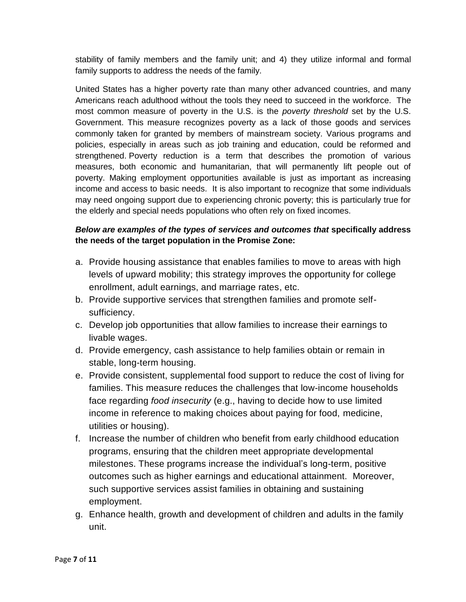stability of family members and the family unit; and 4) they utilize informal and formal family supports to address the needs of the family.

United States has a higher poverty rate than many other advanced countries, and many Americans reach adulthood without the tools they need to succeed in the workforce. The most common measure of poverty in the U.S. is the *poverty threshold* set by the U.S. Government. This measure recognizes poverty as a lack of those goods and services commonly taken for granted by members of mainstream society. Various programs and policies, especially in areas such as job training and education, could be reformed and strengthened. Poverty reduction is a term that describes the promotion of various measures, both economic and humanitarian, that will permanently lift people out of poverty. Making employment opportunities available is just as important as increasing income and access to basic needs. It is also important to recognize that some individuals may need ongoing support due to experiencing chronic poverty; this is particularly true for the elderly and special needs populations who often rely on fixed incomes.

# *Below are examples of the types of services and outcomes that* **specifically address the needs of the target population in the Promise Zone:**

- a. Provide housing assistance that enables families to move to areas with high levels of upward mobility; this strategy improves the opportunity for college enrollment, adult earnings, and marriage rates, etc.
- b. Provide supportive services that strengthen families and promote selfsufficiency.
- c. Develop job opportunities that allow families to increase their earnings to livable wages.
- d. Provide emergency, cash assistance to help families obtain or remain in stable, long-term housing.
- e. Provide consistent, supplemental food support to reduce the cost of living for families. This measure reduces the challenges that low-income households face regarding *food insecurity* (e.g., having to decide how to use limited income in reference to making choices about paying for food, medicine, utilities or housing).
- f. Increase the number of children who benefit from early childhood education programs, ensuring that the children meet appropriate developmental milestones. These programs increase the individual's long-term, positive outcomes such as higher earnings and educational attainment. Moreover, such supportive services assist families in obtaining and sustaining employment.
- g. Enhance health, growth and development of children and adults in the family unit.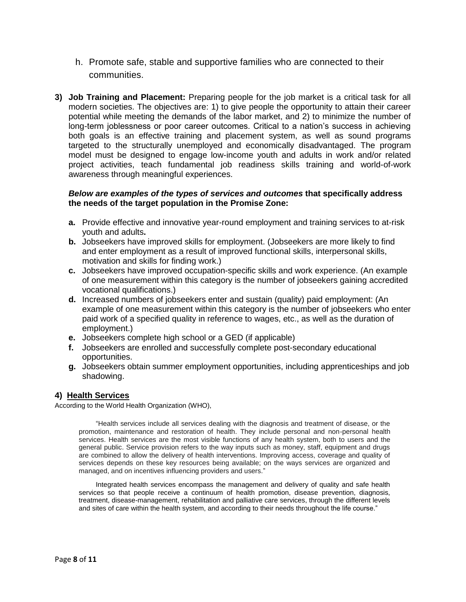- h. Promote safe, stable and supportive families who are connected to their communities.
- **3) Job Training and Placement:** Preparing people for the job market is a critical task for all modern societies. The objectives are: 1) to give people the opportunity to attain their career potential while meeting the demands of the labor market, and 2) to minimize the number of long-term joblessness or poor career outcomes. Critical to a nation's success in achieving both goals is an effective training and placement system, as well as sound programs targeted to the structurally unemployed and economically disadvantaged. The program model must be designed to engage low-income youth and adults in work and/or related project activities, teach fundamental job readiness skills training and world-of-work awareness through meaningful experiences.

#### *Below are examples of the types of services and outcomes* **that specifically address the needs of the target population in the Promise Zone:**

- **a.** Provide effective and innovative year-round employment and training services to at-risk youth and adults**.**
- **b.** Jobseekers have improved skills for employment. (Jobseekers are more likely to find and enter employment as a result of improved functional skills, interpersonal skills, motivation and skills for finding work.)
- **c.** Jobseekers have improved occupation-specific skills and work experience. (An example of one measurement within this category is the number of jobseekers gaining accredited vocational qualifications.)
- **d.** Increased numbers of jobseekers enter and sustain (quality) paid employment: (An example of one measurement within this category is the number of jobseekers who enter paid work of a specified quality in reference to wages, etc., as well as the duration of employment.)
- **e.** Jobseekers complete high school or a GED (if applicable)
- **f.** Jobseekers are enrolled and successfully complete post-secondary educational opportunities.
- **g.** Jobseekers obtain summer employment opportunities, including apprenticeships and job shadowing.

#### **4) Health Services**

According to the World Health Organization (WHO),

"Health services include all services dealing with the diagnosis and treatment of disease, or the promotion, maintenance and restoration of health. They include personal and non-personal health services. Health services are the most visible functions of any health system, both to users and the general public. Service provision refers to the way inputs such as money, staff, equipment and drugs are combined to allow the delivery of health interventions. Improving access, coverage and quality of services depends on these key resources being available; on the ways services are organized and managed, and on incentives influencing providers and users."

Integrated health services encompass the management and delivery of quality and safe health services so that people receive a continuum of health promotion, disease prevention, diagnosis, treatment, disease-management, rehabilitation and palliative care services, through the different levels and sites of care within the health system, and according to their needs throughout the life course."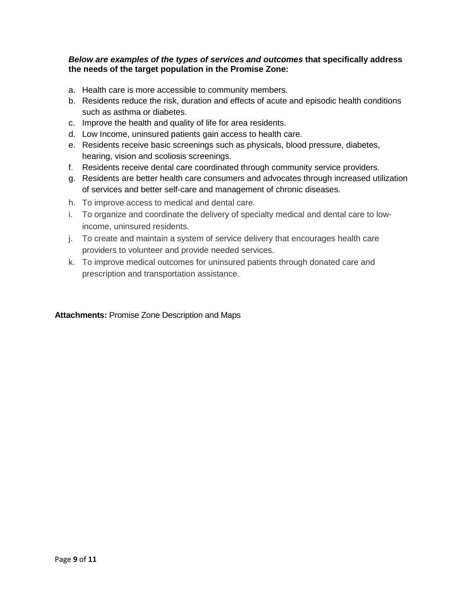#### *Below are examples of the types of services and outcomes* **that specifically address the needs of the target population in the Promise Zone:**

- a. Health care is more accessible to community members.
- b. Residents reduce the risk, duration and effects of acute and episodic health conditions such as asthma or diabetes.
- c. Improve the health and quality of life for area residents.
- d. Low Income, uninsured patients gain access to health care.
- e. Residents receive basic screenings such as physicals, blood pressure, diabetes, hearing, vision and scoliosis screenings.
- f. Residents receive dental care coordinated through community service providers.
- g. Residents are better health care consumers and advocates through increased utilization of services and better self-care and management of chronic diseases.
- h. To improve access to medical and dental care.
- i. To organize and coordinate the delivery of specialty medical and dental care to lowincome, uninsured residents.
- j. To create and maintain a system of service delivery that encourages health care providers to volunteer and provide needed services.
- k. To improve medical outcomes for uninsured patients through donated care and prescription and transportation assistance.

# **Attachments:** Promise Zone Description and Maps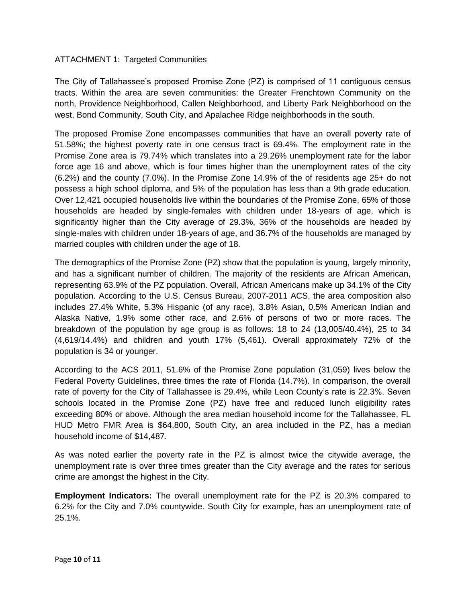#### ATTACHMENT 1: Targeted Communities

The City of Tallahassee's proposed Promise Zone (PZ) is comprised of 11 contiguous census tracts. Within the area are seven communities: the Greater Frenchtown Community on the north, Providence Neighborhood, Callen Neighborhood, and Liberty Park Neighborhood on the west, Bond Community, South City, and Apalachee Ridge neighborhoods in the south.

The proposed Promise Zone encompasses communities that have an overall poverty rate of 51.58%; the highest poverty rate in one census tract is 69.4%. The employment rate in the Promise Zone area is 79.74% which translates into a 29.26% unemployment rate for the labor force age 16 and above, which is four times higher than the unemployment rates of the city (6.2%) and the county (7.0%). In the Promise Zone 14.9% of the of residents age 25+ do not possess a high school diploma, and 5% of the population has less than a 9th grade education. Over 12,421 occupied households live within the boundaries of the Promise Zone, 65% of those households are headed by single-females with children under 18-years of age, which is significantly higher than the City average of 29.3%, 36% of the households are headed by single-males with children under 18-years of age, and 36.7% of the households are managed by married couples with children under the age of 18.

The demographics of the Promise Zone (PZ) show that the population is young, largely minority, and has a significant number of children. The majority of the residents are African American, representing 63.9% of the PZ population. Overall, African Americans make up 34.1% of the City population. According to the U.S. Census Bureau, 2007-2011 ACS, the area composition also includes 27.4% White, 5.3% Hispanic (of any race), 3.8% Asian, 0.5% American Indian and Alaska Native, 1.9% some other race, and 2.6% of persons of two or more races. The breakdown of the population by age group is as follows: 18 to 24 (13,005/40.4%), 25 to 34 (4,619/14.4%) and children and youth 17% (5,461). Overall approximately 72% of the population is 34 or younger.

According to the ACS 2011, 51.6% of the Promise Zone population (31,059) lives below the Federal Poverty Guidelines, three times the rate of Florida (14.7%). In comparison, the overall rate of poverty for the City of Tallahassee is 29.4%, while Leon County's rate is 22.3%. Seven schools located in the Promise Zone (PZ) have free and reduced lunch eligibility rates exceeding 80% or above. Although the area median household income for the Tallahassee, FL HUD Metro FMR Area is \$64,800, South City, an area included in the PZ, has a median household income of \$14,487.

As was noted earlier the poverty rate in the PZ is almost twice the citywide average, the unemployment rate is over three times greater than the City average and the rates for serious crime are amongst the highest in the City.

**Employment Indicators:** The overall unemployment rate for the PZ is 20.3% compared to 6.2% for the City and 7.0% countywide. South City for example, has an unemployment rate of 25.1%.